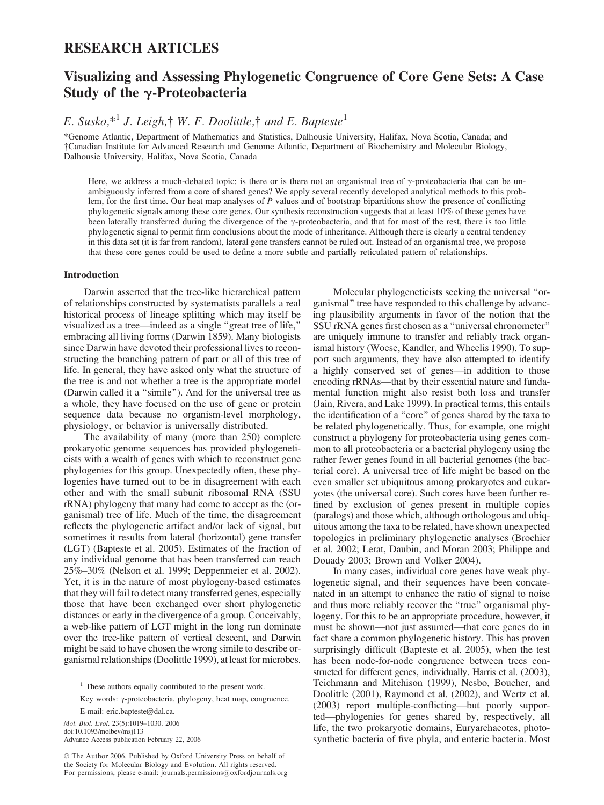# RESEARCH ARTICLES

# Visualizing and Assessing Phylogenetic Congruence of Core Gene Sets: A Case Study of the *g*-Proteobacteria

E. Susko, $*^1$  J. Leigh, $\dagger$  W. F. Doolittle, $\dagger$  and E. Bapteste<sup>1</sup>

\*Genome Atlantic, Department of Mathematics and Statistics, Dalhousie University, Halifax, Nova Scotia, Canada; and Canadian Institute for Advanced Research and Genome Atlantic, Department of Biochemistry and Molecular Biology, Dalhousie University, Halifax, Nova Scotia, Canada

Here, we address a much-debated topic: is there or is there not an organismal tree of  $\gamma$ -proteobacteria that can be unambiguously inferred from a core of shared genes? We apply several recently developed analytical methods to this problem, for the first time. Our heat map analyses of  $P$  values and of bootstrap bipartitions show the presence of conflicting phylogenetic signals among these core genes. Our synthesis reconstruction suggests that at least 10% of these genes have been laterally transferred during the divergence of the  $\gamma$ -proteobacteria, and that for most of the rest, there is too little phylogenetic signal to permit firm conclusions about the mode of inheritance. Although there is clearly a central tendency in this data set (it is far from random), lateral gene transfers cannot be ruled out. Instead of an organismal tree, we propose that these core genes could be used to define a more subtle and partially reticulated pattern of relationships.

# Introduction

Darwin asserted that the tree-like hierarchical pattern of relationships constructed by systematists parallels a real historical process of lineage splitting which may itself be visualized as a tree—indeed as a single ''great tree of life,'' embracing all living forms (Darwin 1859). Many biologists since Darwin have devoted their professional lives to reconstructing the branching pattern of part or all of this tree of life. In general, they have asked only what the structure of the tree is and not whether a tree is the appropriate model (Darwin called it a ''simile''). And for the universal tree as a whole, they have focused on the use of gene or protein sequence data because no organism-level morphology, physiology, or behavior is universally distributed.

The availability of many (more than 250) complete prokaryotic genome sequences has provided phylogeneticists with a wealth of genes with which to reconstruct gene phylogenies for this group. Unexpectedly often, these phylogenies have turned out to be in disagreement with each other and with the small subunit ribosomal RNA (SSU rRNA) phylogeny that many had come to accept as the (organismal) tree of life. Much of the time, the disagreement reflects the phylogenetic artifact and/or lack of signal, but sometimes it results from lateral (horizontal) gene transfer (LGT) (Bapteste et al. 2005). Estimates of the fraction of any individual genome that has been transferred can reach 25%–30% (Nelson et al. 1999; Deppenmeier et al. 2002). Yet, it is in the nature of most phylogeny-based estimates that they will fail to detect many transferred genes, especially those that have been exchanged over short phylogenetic distances or early in the divergence of a group. Conceivably, a web-like pattern of LGT might in the long run dominate over the tree-like pattern of vertical descent, and Darwin might be said to have chosen the wrong simile to describe organismal relationships (Doolittle 1999), at least for microbes.

<sup>1</sup> These authors equally contributed to the present work.

Key words: γ-proteobacteria, phylogeny, heat map, congruence. E-mail: eric.bapteste@dal.ca.

Mol. Biol. Evol. 23(5):1019–1030. 2006 doi:10.1093/molbev/msj113 Advance Access publication February 22, 2006

 The Author 2006. Published by Oxford University Press on behalf of the Society for Molecular Biology and Evolution. All rights reserved. For permissions, please e-mail: journals.permissions@oxfordjournals.org

Molecular phylogeneticists seeking the universal ''organismal'' tree have responded to this challenge by advancing plausibility arguments in favor of the notion that the SSU rRNA genes first chosen as a ''universal chronometer'' are uniquely immune to transfer and reliably track organismal history (Woese, Kandler, and Wheelis 1990). To support such arguments, they have also attempted to identify a highly conserved set of genes—in addition to those encoding rRNAs—that by their essential nature and fundamental function might also resist both loss and transfer (Jain, Rivera, and Lake 1999). In practical terms, this entails the identification of a ''core'' of genes shared by the taxa to be related phylogenetically. Thus, for example, one might construct a phylogeny for proteobacteria using genes common to all proteobacteria or a bacterial phylogeny using the rather fewer genes found in all bacterial genomes (the bacterial core). A universal tree of life might be based on the even smaller set ubiquitous among prokaryotes and eukaryotes (the universal core). Such cores have been further refined by exclusion of genes present in multiple copies (paralogs) and those which, although orthologous and ubiquitous among the taxa to be related, have shown unexpected topologies in preliminary phylogenetic analyses (Brochier et al. 2002; Lerat, Daubin, and Moran 2003; Philippe and Douady 2003; Brown and Volker 2004).

In many cases, individual core genes have weak phylogenetic signal, and their sequences have been concatenated in an attempt to enhance the ratio of signal to noise and thus more reliably recover the "true" organismal phylogeny. For this to be an appropriate procedure, however, it must be shown—not just assumed—that core genes do in fact share a common phylogenetic history. This has proven surprisingly difficult (Bapteste et al. 2005), when the test has been node-for-node congruence between trees constructed for different genes, individually. Harris et al. (2003), Teichmann and Mitchison (1999), Nesbo, Boucher, and Doolittle (2001), Raymond et al. (2002), and Wertz et al. (2003) report multiple-conflicting—but poorly supported—phylogenies for genes shared by, respectively, all life, the two prokaryotic domains, Euryarchaeotes, photosynthetic bacteria of five phyla, and enteric bacteria. Most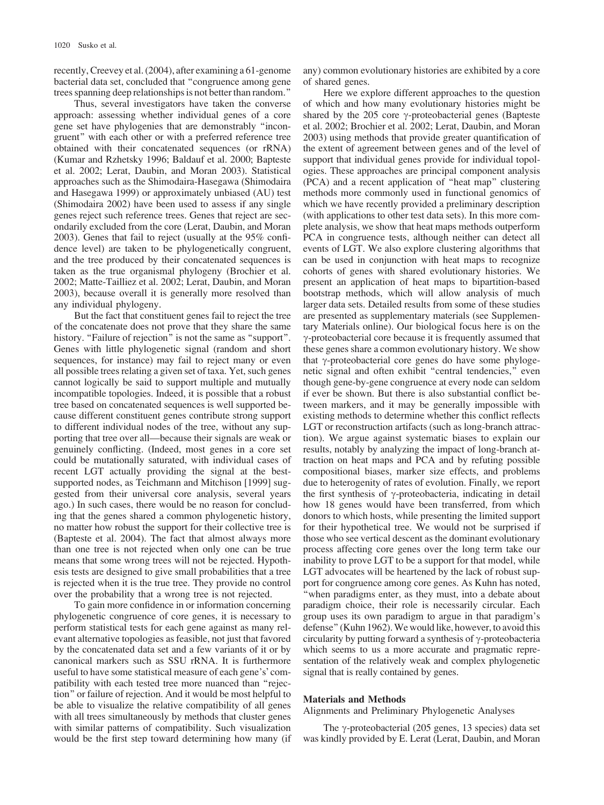recently, Creevey et al. (2004), after examining a 61-genome bacterial data set, concluded that ''congruence among gene trees spanning deep relationships is not better than random.''

Thus, several investigators have taken the converse approach: assessing whether individual genes of a core gene set have phylogenies that are demonstrably ''incongruent'' with each other or with a preferred reference tree obtained with their concatenated sequences (or rRNA) (Kumar and Rzhetsky 1996; Baldauf et al. 2000; Bapteste et al. 2002; Lerat, Daubin, and Moran 2003). Statistical approaches such as the Shimodaira-Hasegawa (Shimodaira and Hasegawa 1999) or approximately unbiased (AU) test (Shimodaira 2002) have been used to assess if any single genes reject such reference trees. Genes that reject are secondarily excluded from the core (Lerat, Daubin, and Moran 2003). Genes that fail to reject (usually at the 95% confidence level) are taken to be phylogenetically congruent, and the tree produced by their concatenated sequences is taken as the true organismal phylogeny (Brochier et al. 2002; Matte-Tailliez et al. 2002; Lerat, Daubin, and Moran 2003), because overall it is generally more resolved than any individual phylogeny.

But the fact that constituent genes fail to reject the tree of the concatenate does not prove that they share the same history. "Failure of rejection" is not the same as "support". Genes with little phylogenetic signal (random and short sequences, for instance) may fail to reject many or even all possible trees relating a given set of taxa. Yet, such genes cannot logically be said to support multiple and mutually incompatible topologies. Indeed, it is possible that a robust tree based on concatenated sequences is well supported because different constituent genes contribute strong support to different individual nodes of the tree, without any supporting that tree over all—because their signals are weak or genuinely conflicting. (Indeed, most genes in a core set could be mutationally saturated, with individual cases of recent LGT actually providing the signal at the bestsupported nodes, as Teichmann and Mitchison [1999] suggested from their universal core analysis, several years ago.) In such cases, there would be no reason for concluding that the genes shared a common phylogenetic history, no matter how robust the support for their collective tree is (Bapteste et al. 2004). The fact that almost always more than one tree is not rejected when only one can be true means that some wrong trees will not be rejected. Hypothesis tests are designed to give small probabilities that a tree is rejected when it is the true tree. They provide no control over the probability that a wrong tree is not rejected.

To gain more confidence in or information concerning phylogenetic congruence of core genes, it is necessary to perform statistical tests for each gene against as many relevant alternative topologies as feasible, not just that favored by the concatenated data set and a few variants of it or by canonical markers such as SSU rRNA. It is furthermore useful to have some statistical measure of each gene's' compatibility with each tested tree more nuanced than ''rejection'' or failure of rejection. And it would be most helpful to be able to visualize the relative compatibility of all genes with all trees simultaneously by methods that cluster genes with similar patterns of compatibility. Such visualization would be the first step toward determining how many (if

any) common evolutionary histories are exhibited by a core of shared genes.

Here we explore different approaches to the question of which and how many evolutionary histories might be shared by the 205 core  $\gamma$ -proteobacterial genes (Bapteste et al. 2002; Brochier et al. 2002; Lerat, Daubin, and Moran 2003) using methods that provide greater quantification of the extent of agreement between genes and of the level of support that individual genes provide for individual topologies. These approaches are principal component analysis (PCA) and a recent application of ''heat map'' clustering methods more commonly used in functional genomics of which we have recently provided a preliminary description (with applications to other test data sets). In this more complete analysis, we show that heat maps methods outperform PCA in congruence tests, although neither can detect all events of LGT. We also explore clustering algorithms that can be used in conjunction with heat maps to recognize cohorts of genes with shared evolutionary histories. We present an application of heat maps to bipartition-based bootstrap methods, which will allow analysis of much larger data sets. Detailed results from some of these studies are presented as supplementary materials (see Supplementary Materials online). Our biological focus here is on the  $\gamma$ -proteobacterial core because it is frequently assumed that these genes share a common evolutionary history. We show that  $\gamma$ -proteobacterial core genes do have some phylogenetic signal and often exhibit "central tendencies," even though gene-by-gene congruence at every node can seldom if ever be shown. But there is also substantial conflict between markers, and it may be generally impossible with existing methods to determine whether this conflict reflects LGT or reconstruction artifacts (such as long-branch attraction). We argue against systematic biases to explain our results, notably by analyzing the impact of long-branch attraction on heat maps and PCA and by refuting possible compositional biases, marker size effects, and problems due to heterogenity of rates of evolution. Finally, we report the first synthesis of  $\gamma$ -proteobacteria, indicating in detail how 18 genes would have been transferred, from which donors to which hosts, while presenting the limited support for their hypothetical tree. We would not be surprised if those who see vertical descent as the dominant evolutionary process affecting core genes over the long term take our inability to prove LGT to be a support for that model, while LGT advocates will be heartened by the lack of robust support for congruence among core genes. As Kuhn has noted, ''when paradigms enter, as they must, into a debate about paradigm choice, their role is necessarily circular. Each group uses its own paradigm to argue in that paradigm's defense'' (Kuhn 1962).We would like, however, to avoid this circularity by putting forward a synthesis of  $\gamma$ -proteobacteria which seems to us a more accurate and pragmatic representation of the relatively weak and complex phylogenetic signal that is really contained by genes.

#### Materials and Methods

Alignments and Preliminary Phylogenetic Analyses

The  $\gamma$ -proteobacterial (205 genes, 13 species) data set was kindly provided by E. Lerat (Lerat, Daubin, and Moran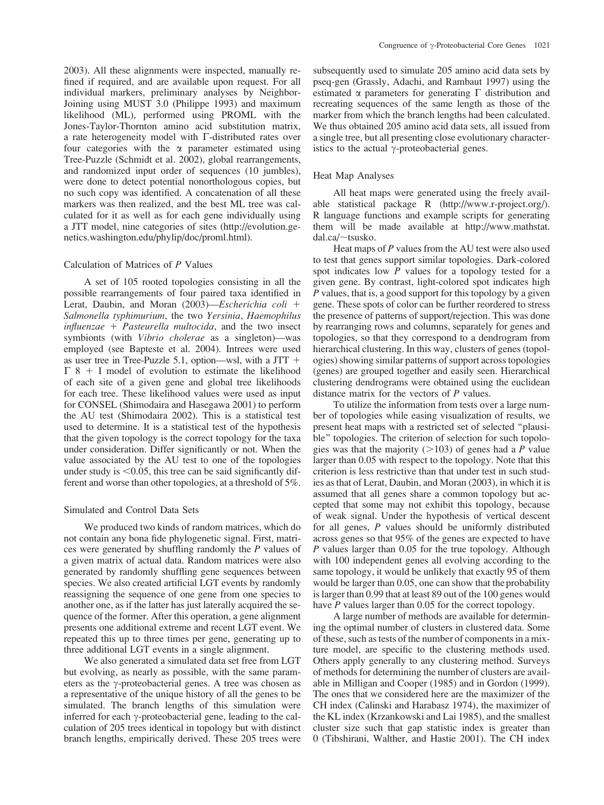2003). All these alignments were inspected, manually refined if required, and are available upon request. For all individual markers, preliminary analyses by Neighbor-Joining using MUST 3.0 (Philippe 1993) and maximum likelihood (ML), performed using PROML with the Jones-Taylor-Thornton amino acid substitution matrix, a rate heterogeneity model with  $\Gamma$ -distributed rates over four categories with the  $\alpha$  parameter estimated using Tree-Puzzle (Schmidt et al. 2002), global rearrangements, and randomized input order of sequences (10 jumbles), were done to detect potential nonorthologous copies, but no such copy was identified. A concatenation of all these markers was then realized, and the best ML tree was calculated for it as well as for each gene individually using a JTT model, nine categories of sites [\(http://evolution.ge](http://evolution.ge-netics.washington.edu/phylip/doc/proml.html)[netics.washington.edu/phylip/doc/proml.html\).](http://evolution.ge-netics.washington.edu/phylip/doc/proml.html)

#### Calculation of Matrices of P Values

A set of 105 rooted topologies consisting in all the possible rearrangements of four paired taxa identified in Lerat, Daubin, and Moran (2003)—*Escherichia coli* + Salmonella typhimurium, the two Yersinia, Haemophilus  $influence + Pasteurella multocida$ , and the two insect symbionts (with Vibrio cholerae as a singleton)—was employed (see Bapteste et al. 2004). Intrees were used as user tree in Tree-Puzzle 5.1, option—wsl, with a JTT  $+$  $\Gamma$  8 + I model of evolution to estimate the likelihood of each site of a given gene and global tree likelihoods for each tree. These likelihood values were used as input for CONSEL (Shimodaira and Hasegawa 2001) to perform the AU test (Shimodaira 2002). This is a statistical test used to determine. It is a statistical test of the hypothesis that the given topology is the correct topology for the taxa under consideration. Differ significantly or not. When the value associated by the AU test to one of the topologies under study is  $\leq 0.05$ , this tree can be said significantly different and worse than other topologies, at a threshold of 5%.

# Simulated and Control Data Sets

We produced two kinds of random matrices, which do not contain any bona fide phylogenetic signal. First, matrices were generated by shuffling randomly the P values of a given matrix of actual data. Random matrices were also generated by randomly shuffling gene sequences between species. We also created artificial LGT events by randomly reassigning the sequence of one gene from one species to another one, as if the latter has just laterally acquired the sequence of the former. After this operation, a gene alignment presents one additional extreme and recent LGT event. We repeated this up to three times per gene, generating up to three additional LGT events in a single alignment.

We also generated a simulated data set free from LGT but evolving, as nearly as possible, with the same parameters as the  $\gamma$ -proteobacterial genes. A tree was chosen as a representative of the unique history of all the genes to be simulated. The branch lengths of this simulation were inferred for each  $\gamma$ -proteobacterial gene, leading to the calculation of 205 trees identical in topology but with distinct branch lengths, empirically derived. These 205 trees were

subsequently used to simulate 205 amino acid data sets by pseq-gen (Grassly, Adachi, and Rambaut 1997) using the estimated  $\alpha$  parameters for generating  $\Gamma$  distribution and recreating sequences of the same length as those of the marker from which the branch lengths had been calculated. We thus obtained 205 amino acid data sets, all issued from a single tree, but all presenting close evolutionary characteristics to the actual  $\gamma$ -proteobacterial genes.

#### Heat Map Analyses

All heat maps were generated using the freely available statistical package R [\(http://www.r-project.org/\).](http://www.r-project.org/) R language functions and example scripts for generating them will be made available at [http://www.mathstat.](http://www.mathstat.dal.ca/~tsusko)  $dal.ca/\sim$ [tsusko.](http://www.mathstat.dal.ca/~tsusko)

Heat maps of  $P$  values from the AU test were also used to test that genes support similar topologies. Dark-colored spot indicates low P values for a topology tested for a given gene. By contrast, light-colored spot indicates high P values, that is, a good support for this topology by a given gene. These spots of color can be further reordered to stress the presence of patterns of support/rejection. This was done by rearranging rows and columns, separately for genes and topologies, so that they correspond to a dendrogram from hierarchical clustering. In this way, clusters of genes (topologies) showing similar patterns of support across topologies (genes) are grouped together and easily seen. Hierarchical clustering dendrograms were obtained using the euclidean distance matrix for the vectors of P values.

To utilize the information from tests over a large number of topologies while easing visualization of results, we present heat maps with a restricted set of selected ''plausible'' topologies. The criterion of selection for such topologies was that the majority ( $>103$ ) of genes had a P value larger than 0.05 with respect to the topology. Note that this criterion is less restrictive than that under test in such studies as that of Lerat, Daubin, and Moran (2003), in which it is assumed that all genes share a common topology but accepted that some may not exhibit this topology, because of weak signal. Under the hypothesis of vertical descent for all genes, P values should be uniformly distributed across genes so that 95% of the genes are expected to have P values larger than 0.05 for the true topology. Although with 100 independent genes all evolving according to the same topology, it would be unlikely that exactly 95 of them would be larger than 0.05, one can show that the probability is larger than 0.99 that at least 89 out of the 100 genes would have *P* values larger than 0.05 for the correct topology.

A large number of methods are available for determining the optimal number of clusters in clustered data. Some of these, such as tests of the number of components in a mixture model, are specific to the clustering methods used. Others apply generally to any clustering method. Surveys of methods for determining the number of clusters are available in Milligan and Cooper (1985) and in Gordon (1999). The ones that we considered here are the maximizer of the CH index (Calinski and Harabasz 1974), the maximizer of the KL index (Krzankowski and Lai 1985), and the smallest cluster size such that gap statistic index is greater than 0 (Tibshirani, Walther, and Hastie 2001). The CH index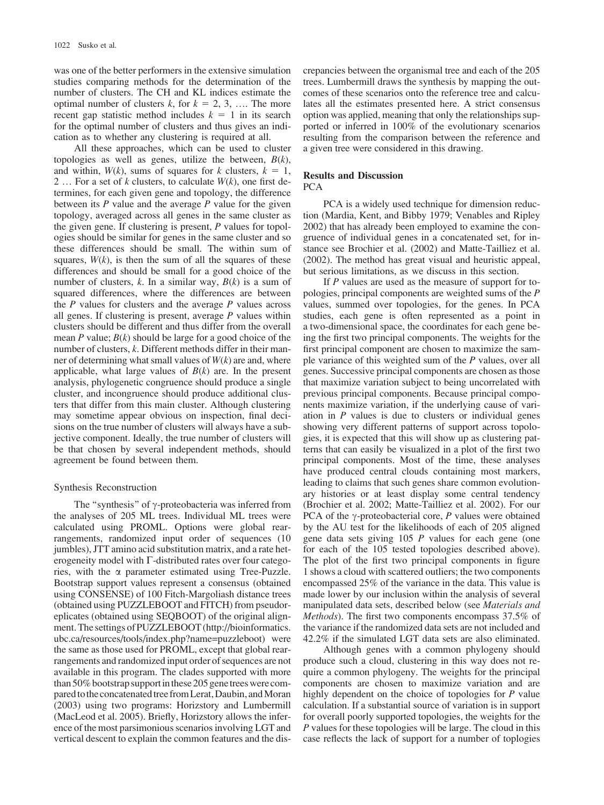was one of the better performers in the extensive simulation studies comparing methods for the determination of the number of clusters. The CH and KL indices estimate the optimal number of clusters k, for  $k = 2, 3, \ldots$  The more recent gap statistic method includes  $k = 1$  in its search for the optimal number of clusters and thus gives an indication as to whether any clustering is required at all.

All these approaches, which can be used to cluster topologies as well as genes, utilize the between,  $B(k)$ , and within,  $W(k)$ , sums of squares for k clusters,  $k = 1$ , 2 ... For a set of k clusters, to calculate  $W(k)$ , one first determines, for each given gene and topology, the difference between its  $P$  value and the average  $P$  value for the given topology, averaged across all genes in the same cluster as the given gene. If clustering is present, P values for topologies should be similar for genes in the same cluster and so these differences should be small. The within sum of squares,  $W(k)$ , is then the sum of all the squares of these differences and should be small for a good choice of the number of clusters, k. In a similar way,  $B(k)$  is a sum of squared differences, where the differences are between the  $P$  values for clusters and the average  $P$  values across all genes. If clustering is present, average  $P$  values within clusters should be different and thus differ from the overall mean P value;  $B(k)$  should be large for a good choice of the number of clusters, k. Different methods differ in their manner of determining what small values of  $W(k)$  are and, where applicable, what large values of  $B(k)$  are. In the present analysis, phylogenetic congruence should produce a single cluster, and incongruence should produce additional clusters that differ from this main cluster. Although clustering may sometime appear obvious on inspection, final decisions on the true number of clusters will always have a subjective component. Ideally, the true number of clusters will be that chosen by several independent methods, should agreement be found between them.

#### Synthesis Reconstruction

The "synthesis" of  $\gamma$ -proteobacteria was inferred from the analyses of 205 ML trees. Individual ML trees were calculated using PROML. Options were global rearrangements, randomized input order of sequences (10 jumbles), JTT amino acid substitution matrix, and a rate heterogeneity model with  $\Gamma$ -distributed rates over four categories, with the  $\alpha$  parameter estimated using Tree-Puzzle. Bootstrap support values represent a consensus (obtained using CONSENSE) of 100 Fitch-Margoliash distance trees (obtained using PUZZLEBOOT and FITCH) from pseudoreplicates (obtained using SEQBOOT) of the original alignment. The settings of PUZZLEBOOT [\(http://bioinformatics.](http://bioinformatics.ubc.ca/resources/tools/index.php?name=puzzleboot) [ubc.ca/resources/tools/index.php?name=puzzleboot\)](http://bioinformatics.ubc.ca/resources/tools/index.php?name=puzzleboot) were the same as those used for PROML, except that global rearrangements and randomized input order of sequences are not available in this program. The clades supported with more than 50% bootstrap support in these 205 gene trees were compared to the concatenated tree from Lerat, Daubin, and Moran (2003) using two programs: Horizstory and Lumbermill (MacLeod et al. 2005). Briefly, Horizstory allows the inference of the most parsimonious scenarios involving LGT and vertical descent to explain the common features and the discrepancies between the organismal tree and each of the 205 trees. Lumbermill draws the synthesis by mapping the outcomes of these scenarios onto the reference tree and calculates all the estimates presented here. A strict consensus option was applied, meaning that only the relationships supported or inferred in 100% of the evolutionary scenarios resulting from the comparison between the reference and a given tree were considered in this drawing.

# Results and Discussion PCA

PCA is a widely used technique for dimension reduction (Mardia, Kent, and Bibby 1979; Venables and Ripley 2002) that has already been employed to examine the congruence of individual genes in a concatenated set, for instance see Brochier et al. (2002) and Matte-Tailliez et al. (2002). The method has great visual and heuristic appeal, but serious limitations, as we discuss in this section.

If P values are used as the measure of support for topologies, principal components are weighted sums of the P values, summed over topologies, for the genes. In PCA studies, each gene is often represented as a point in a two-dimensional space, the coordinates for each gene being the first two principal components. The weights for the first principal component are chosen to maximize the sample variance of this weighted sum of the P values, over all genes. Successive principal components are chosen as those that maximize variation subject to being uncorrelated with previous principal components. Because principal components maximize variation, if the underlying cause of variation in  *values is due to clusters or individual genes* showing very different patterns of support across topologies, it is expected that this will show up as clustering patterns that can easily be visualized in a plot of the first two principal components. Most of the time, these analyses have produced central clouds containing most markers, leading to claims that such genes share common evolutionary histories or at least display some central tendency (Brochier et al. 2002; Matte-Tailliez et al. 2002). For our PCA of the  $\gamma$ -proteobacterial core, P values were obtained by the AU test for the likelihoods of each of 205 aligned gene data sets giving 105 P values for each gene (one for each of the 105 tested topologies described above). The plot of the first two principal components in figure 1 shows a cloud with scattered outliers; the two components encompassed 25% of the variance in the data. This value is made lower by our inclusion within the analysis of several manipulated data sets, described below (see Materials and Methods). The first two components encompass 37.5% of the variance if the randomized data sets are not included and 42.2% if the simulated LGT data sets are also eliminated.

Although genes with a common phylogeny should produce such a cloud, clustering in this way does not require a common phylogeny. The weights for the principal components are chosen to maximize variation and are highly dependent on the choice of topologies for P value calculation. If a substantial source of variation is in support for overall poorly supported topologies, the weights for the P values for these topologies will be large. The cloud in this case reflects the lack of support for a number of toplogies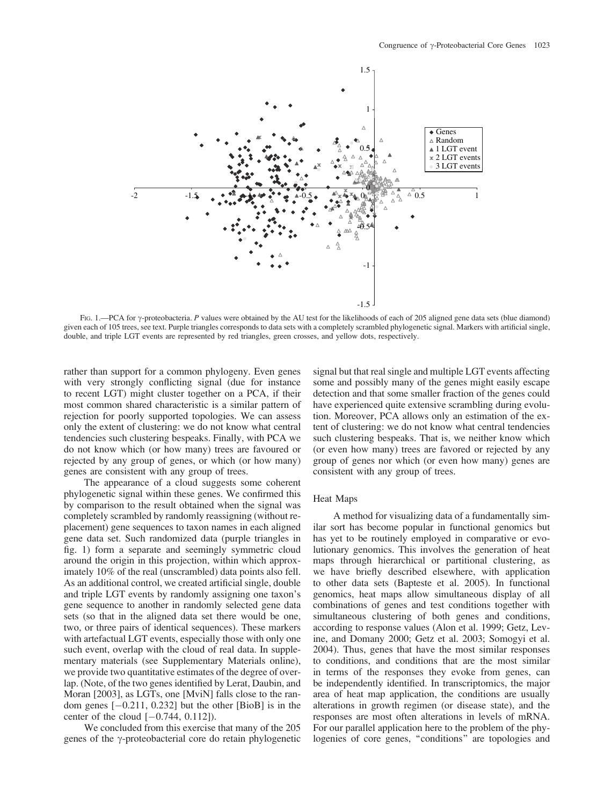

FIG. 1.—PCA for  $\gamma$ -proteobacteria. P values were obtained by the AU test for the likelihoods of each of 205 aligned gene data sets (blue diamond) given each of 105 trees, see text. Purple triangles corresponds to data sets with a completely scrambled phylogenetic signal. Markers with artificial single, double, and triple LGT events are represented by red triangles, green crosses, and yellow dots, respectively.

rather than support for a common phylogeny. Even genes with very strongly conflicting signal (due for instance to recent LGT) might cluster together on a PCA, if their most common shared characteristic is a similar pattern of rejection for poorly supported topologies. We can assess only the extent of clustering: we do not know what central tendencies such clustering bespeaks. Finally, with PCA we do not know which (or how many) trees are favoured or rejected by any group of genes, or which (or how many) genes are consistent with any group of trees.

The appearance of a cloud suggests some coherent phylogenetic signal within these genes. We confirmed this by comparison to the result obtained when the signal was completely scrambled by randomly reassigning (without replacement) gene sequences to taxon names in each aligned gene data set. Such randomized data (purple triangles in fig. 1) form a separate and seemingly symmetric cloud around the origin in this projection, within which approximately 10% of the real (unscrambled) data points also fell. As an additional control, we created artificial single, double and triple LGT events by randomly assigning one taxon's gene sequence to another in randomly selected gene data sets (so that in the aligned data set there would be one, two, or three pairs of identical sequences). These markers with artefactual LGT events, especially those with only one such event, overlap with the cloud of real data. In supplementary materials (see Supplementary Materials online), we provide two quantitative estimates of the degree of overlap. (Note, of the two genes identified by Lerat, Daubin, and Moran [2003], as LGTs, one [MviN] falls close to the random genes  $[-0.211, 0.232]$  but the other  $[BioB]$  is in the center of the cloud  $[-0.744, 0.112]$ .

We concluded from this exercise that many of the 205 genes of the  $\gamma$ -proteobacterial core do retain phylogenetic

signal but that real single and multiple LGT events affecting some and possibly many of the genes might easily escape detection and that some smaller fraction of the genes could have experienced quite extensive scrambling during evolution. Moreover, PCA allows only an estimation of the extent of clustering: we do not know what central tendencies such clustering bespeaks. That is, we neither know which (or even how many) trees are favored or rejected by any group of genes nor which (or even how many) genes are consistent with any group of trees.

#### Heat Maps

A method for visualizing data of a fundamentally similar sort has become popular in functional genomics but has yet to be routinely employed in comparative or evolutionary genomics. This involves the generation of heat maps through hierarchical or partitional clustering, as we have briefly described elsewhere, with application to other data sets (Bapteste et al. 2005). In functional genomics, heat maps allow simultaneous display of all combinations of genes and test conditions together with simultaneous clustering of both genes and conditions, according to response values (Alon et al. 1999; Getz, Levine, and Domany 2000; Getz et al. 2003; Somogyi et al. 2004). Thus, genes that have the most similar responses to conditions, and conditions that are the most similar in terms of the responses they evoke from genes, can be independently identified. In transcriptomics, the major area of heat map application, the conditions are usually alterations in growth regimen (or disease state), and the responses are most often alterations in levels of mRNA. For our parallel application here to the problem of the phylogenies of core genes, ''conditions'' are topologies and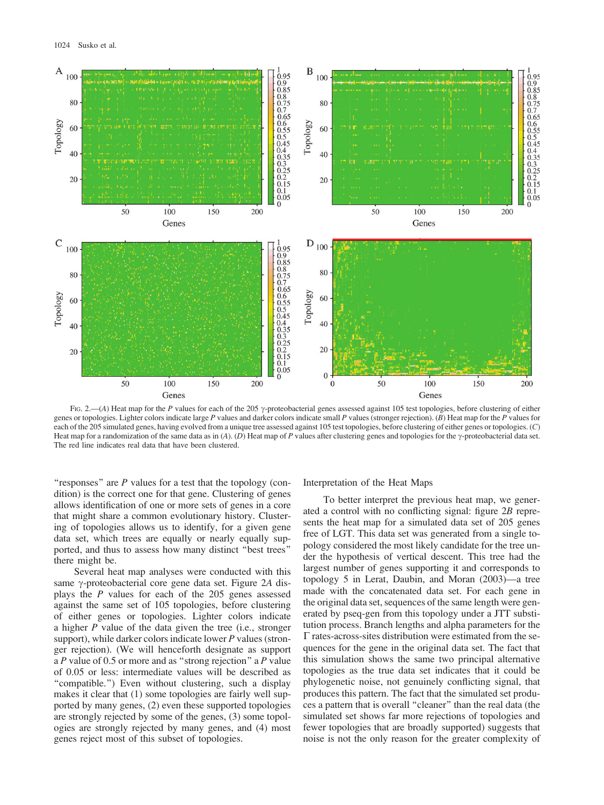

FIG. 2.—(A) Heat map for the P values for each of the 205  $\gamma$ -proteobacterial genes assessed against 105 test topologies, before clustering of either genes or topologies. Lighter colors indicate large  $P$  values and darker colors indicate small  $P$  values (stronger rejection). (B) Heat map for the  $P$  values for each of the 205 simulated genes, having evolved from a unique tree assessed against 105 test topologies, before clustering of either genes or topologies. (C) Heat map for a randomization of the same data as in (A). (D) Heat map of P values after clustering genes and topologies for the  $\gamma$ -proteobacterial data set. The red line indicates real data that have been clustered.

"responses" are  $P$  values for a test that the topology (condition) is the correct one for that gene. Clustering of genes allows identification of one or more sets of genes in a core that might share a common evolutionary history. Clustering of topologies allows us to identify, for a given gene data set, which trees are equally or nearly equally supported, and thus to assess how many distinct ''best trees'' there might be.

Several heat map analyses were conducted with this same  $\gamma$ -proteobacterial core gene data set. Figure 2A displays the P values for each of the 205 genes assessed against the same set of 105 topologies, before clustering of either genes or topologies. Lighter colors indicate a higher P value of the data given the tree (i.e., stronger support), while darker colors indicate lower  $P$  values (stronger rejection). (We will henceforth designate as support a  $P$  value of 0.5 or more and as "strong rejection" a  $P$  value of 0.05 or less: intermediate values will be described as "compatible.") Even without clustering, such a display makes it clear that (1) some topologies are fairly well supported by many genes, (2) even these supported topologies are strongly rejected by some of the genes, (3) some topologies are strongly rejected by many genes, and (4) most genes reject most of this subset of topologies.

Interpretation of the Heat Maps

To better interpret the previous heat map, we generated a control with no conflicting signal: figure 2B represents the heat map for a simulated data set of 205 genes free of LGT. This data set was generated from a single topology considered the most likely candidate for the tree under the hypothesis of vertical descent. This tree had the largest number of genes supporting it and corresponds to topology 5 in Lerat, Daubin, and Moran (2003)—a tree made with the concatenated data set. For each gene in the original data set, sequences of the same length were generated by pseq-gen from this topology under a JTT substitution process. Branch lengths and alpha parameters for the  $\Gamma$  rates-across-sites distribution were estimated from the sequences for the gene in the original data set. The fact that this simulation shows the same two principal alternative topologies as the true data set indicates that it could be phylogenetic noise, not genuinely conflicting signal, that produces this pattern. The fact that the simulated set produces a pattern that is overall ''cleaner'' than the real data (the simulated set shows far more rejections of topologies and fewer topologies that are broadly supported) suggests that noise is not the only reason for the greater complexity of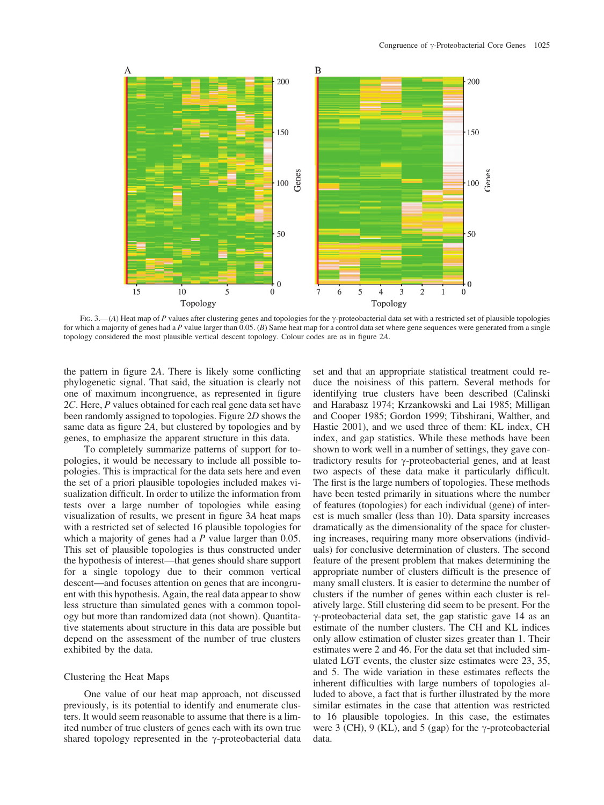

FIG. 3.—(A) Heat map of P values after clustering genes and topologies for the  $\gamma$ -proteobacterial data set with a restricted set of plausible topologies for which a majority of genes had a P value larger than  $0.05$ . (B) Same heat map for a control data set where gene sequences were generated from a single topology considered the most plausible vertical descent topology. Colour codes are as in figure 2A.

the pattern in figure 2A. There is likely some conflicting phylogenetic signal. That said, the situation is clearly not one of maximum incongruence, as represented in figure 2C. Here, P values obtained for each real gene data set have been randomly assigned to topologies. Figure 2D shows the same data as figure 2A, but clustered by topologies and by genes, to emphasize the apparent structure in this data.

To completely summarize patterns of support for topologies, it would be necessary to include all possible topologies. This is impractical for the data sets here and even the set of a priori plausible topologies included makes visualization difficult. In order to utilize the information from tests over a large number of topologies while easing visualization of results, we present in figure 3A heat maps with a restricted set of selected 16 plausible topologies for which a majority of genes had a  $P$  value larger than 0.05. This set of plausible topologies is thus constructed under the hypothesis of interest—that genes should share support for a single topology due to their common vertical descent—and focuses attention on genes that are incongruent with this hypothesis. Again, the real data appear to show less structure than simulated genes with a common topology but more than randomized data (not shown). Quantitative statements about structure in this data are possible but depend on the assessment of the number of true clusters exhibited by the data.

#### Clustering the Heat Maps

One value of our heat map approach, not discussed previously, is its potential to identify and enumerate clusters. It would seem reasonable to assume that there is a limited number of true clusters of genes each with its own true shared topology represented in the  $\gamma$ -proteobacterial data

set and that an appropriate statistical treatment could reduce the noisiness of this pattern. Several methods for identifying true clusters have been described (Calinski and Harabasz 1974; Krzankowski and Lai 1985; Milligan and Cooper 1985; Gordon 1999; Tibshirani, Walther, and Hastie 2001), and we used three of them: KL index, CH index, and gap statistics. While these methods have been shown to work well in a number of settings, they gave contradictory results for  $\gamma$ -proteobacterial genes, and at least two aspects of these data make it particularly difficult. The first is the large numbers of topologies. These methods have been tested primarily in situations where the number of features (topologies) for each individual (gene) of interest is much smaller (less than 10). Data sparsity increases dramatically as the dimensionality of the space for clustering increases, requiring many more observations (individuals) for conclusive determination of clusters. The second feature of the present problem that makes determining the appropriate number of clusters difficult is the presence of many small clusters. It is easier to determine the number of clusters if the number of genes within each cluster is relatively large. Still clustering did seem to be present. For the  $\gamma$ -proteobacterial data set, the gap statistic gave 14 as an estimate of the number clusters. The CH and KL indices only allow estimation of cluster sizes greater than 1. Their estimates were 2 and 46. For the data set that included simulated LGT events, the cluster size estimates were 23, 35, and 5. The wide variation in these estimates reflects the inherent difficulties with large numbers of topologies alluded to above, a fact that is further illustrated by the more similar estimates in the case that attention was restricted to 16 plausible topologies. In this case, the estimates were 3 (CH), 9 (KL), and 5 (gap) for the  $\gamma$ -proteobacterial data.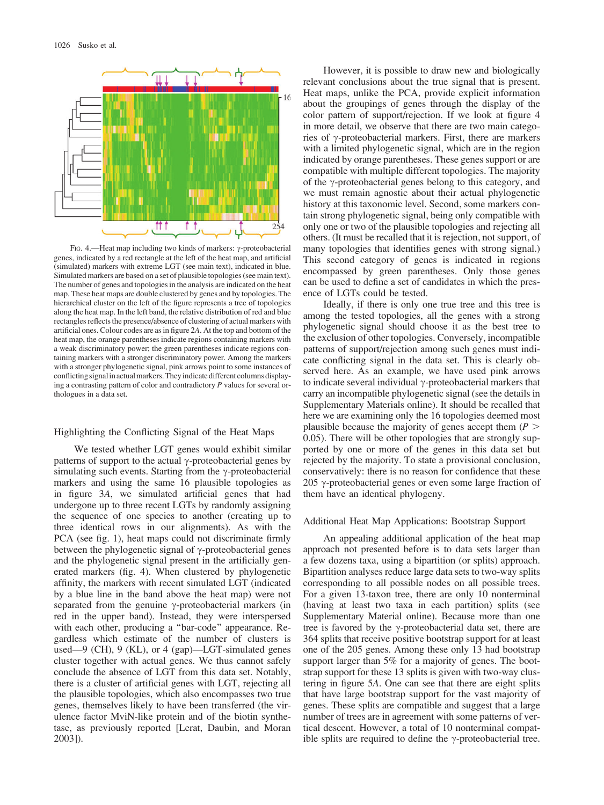

FIG. 4.—Heat map including two kinds of markers:  $\gamma$ -proteobacterial genes, indicated by a red rectangle at the left of the heat map, and artificial (simulated) markers with extreme LGT (see main text), indicated in blue. Simulated markers are based on a set of plausible topologies (see main text). The number of genes and topologies in the analysis are indicated on the heat map. These heat maps are double clustered by genes and by topologies. The hierarchical cluster on the left of the figure represents a tree of topologies along the heat map. In the left band, the relative distribution of red and blue rectangles reflects the presence/absence of clustering of actual markers with artificial ones. Colour codes are as in figure 2A. At the top and bottom of the heat map, the orange parentheses indicate regions containing markers with a weak discriminatory power; the green parentheses indicate regions containing markers with a stronger discriminatory power. Among the markers with a stronger phylogenetic signal, pink arrows point to some instances of conflicting signalin actualmarkers.Theyindicate different columns displaying a contrasting pattern of color and contradictory  $P$  values for several orthologues in a data set.

# Highlighting the Conflicting Signal of the Heat Maps

We tested whether LGT genes would exhibit similar patterns of support to the actual  $\gamma$ -proteobacterial genes by simulating such events. Starting from the  $\gamma$ -proteobacterial markers and using the same 16 plausible topologies as in figure 3A, we simulated artificial genes that had undergone up to three recent LGTs by randomly assigning the sequence of one species to another (creating up to three identical rows in our alignments). As with the PCA (see fig. 1), heat maps could not discriminate firmly between the phylogenetic signal of  $\gamma$ -proteobacterial genes and the phylogenetic signal present in the artificially generated markers (fig. 4). When clustered by phylogenetic affinity, the markers with recent simulated LGT (indicated by a blue line in the band above the heat map) were not separated from the genuine  $\gamma$ -proteobacterial markers (in red in the upper band). Instead, they were interspersed with each other, producing a "bar-code" appearance. Regardless which estimate of the number of clusters is used—9 (CH), 9 (KL), or 4 (gap)—LGT-simulated genes cluster together with actual genes. We thus cannot safely conclude the absence of LGT from this data set. Notably, there is a cluster of artificial genes with LGT, rejecting all the plausible topologies, which also encompasses two true genes, themselves likely to have been transferred (the virulence factor MviN-like protein and of the biotin synthetase, as previously reported [Lerat, Daubin, and Moran 2003]).

However, it is possible to draw new and biologically relevant conclusions about the true signal that is present. Heat maps, unlike the PCA, provide explicit information about the groupings of genes through the display of the color pattern of support/rejection. If we look at figure 4 in more detail, we observe that there are two main categories of  $\gamma$ -proteobacterial markers. First, there are markers with a limited phylogenetic signal, which are in the region indicated by orange parentheses. These genes support or are compatible with multiple different topologies. The majority of the  $\gamma$ -proteobacterial genes belong to this category, and we must remain agnostic about their actual phylogenetic history at this taxonomic level. Second, some markers contain strong phylogenetic signal, being only compatible with only one or two of the plausible topologies and rejecting all others. (It must be recalled that it is rejection, not support, of many topologies that identifies genes with strong signal.) This second category of genes is indicated in regions encompassed by green parentheses. Only those genes can be used to define a set of candidates in which the presence of LGTs could be tested.

Ideally, if there is only one true tree and this tree is among the tested topologies, all the genes with a strong phylogenetic signal should choose it as the best tree to the exclusion of other topologies. Conversely, incompatible patterns of support/rejection among such genes must indicate conflicting signal in the data set. This is clearly observed here. As an example, we have used pink arrows to indicate several individual  $\gamma$ -proteobacterial markers that carry an incompatible phylogenetic signal (see the details in Supplementary Materials online). It should be recalled that here we are examining only the 16 topologies deemed most plausible because the majority of genes accept them ( $P >$ 0.05). There will be other topologies that are strongly supported by one or more of the genes in this data set but rejected by the majority. To state a provisional conclusion, conservatively: there is no reason for confidence that these 205  $\gamma$ -proteobacterial genes or even some large fraction of them have an identical phylogeny.

# Additional Heat Map Applications: Bootstrap Support

An appealing additional application of the heat map approach not presented before is to data sets larger than a few dozens taxa, using a bipartition (or splits) approach. Bipartition analyses reduce large data sets to two-way splits corresponding to all possible nodes on all possible trees. For a given 13-taxon tree, there are only 10 nonterminal (having at least two taxa in each partition) splits (see Supplementary Material online). Because more than one tree is favored by the  $\gamma$ -proteobacterial data set, there are 364 splits that receive positive bootstrap support for at least one of the 205 genes. Among these only 13 had bootstrap support larger than 5% for a majority of genes. The bootstrap support for these 13 splits is given with two-way clustering in figure 5A. One can see that there are eight splits that have large bootstrap support for the vast majority of genes. These splits are compatible and suggest that a large number of trees are in agreement with some patterns of vertical descent. However, a total of 10 nonterminal compatible splits are required to define the  $\gamma$ -proteobacterial tree.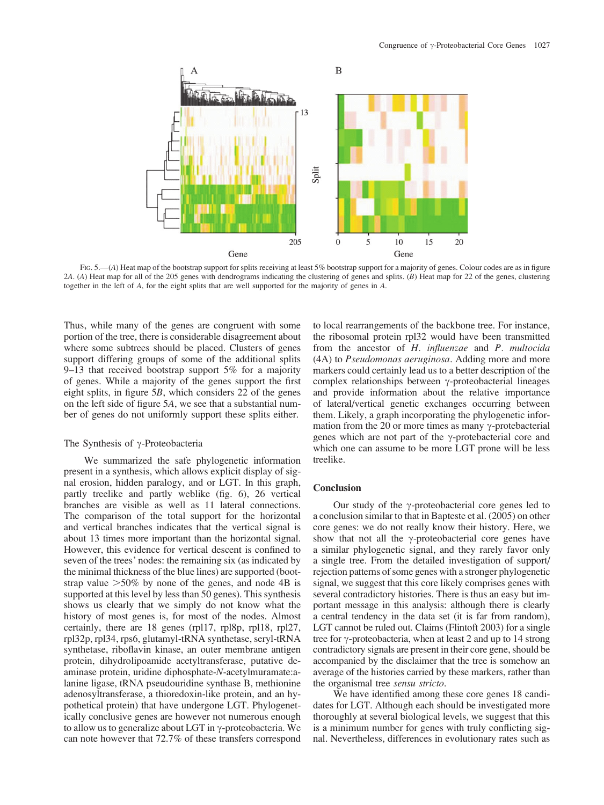

FIG. 5.—(A) Heat map of the bootstrap support for splits receiving at least 5% bootstrap support for a majority of genes. Colour codes are as in figure 2A. (A) Heat map for all of the 205 genes with dendrograms indicating the clustering of genes and splits. (B) Heat map for 22 of the genes, clustering together in the left of A, for the eight splits that are well supported for the majority of genes in A.

Thus, while many of the genes are congruent with some portion of the tree, there is considerable disagreement about where some subtrees should be placed. Clusters of genes support differing groups of some of the additional splits 9–13 that received bootstrap support 5% for a majority of genes. While a majority of the genes support the first eight splits, in figure 5B, which considers 22 of the genes on the left side of figure 5A, we see that a substantial number of genes do not uniformly support these splits either.

# The Synthesis of  $\gamma$ -Proteobacteria

We summarized the safe phylogenetic information present in a synthesis, which allows explicit display of signal erosion, hidden paralogy, and or LGT. In this graph, partly treelike and partly weblike (fig. 6), 26 vertical branches are visible as well as 11 lateral connections. The comparison of the total support for the horizontal and vertical branches indicates that the vertical signal is about 13 times more important than the horizontal signal. However, this evidence for vertical descent is confined to seven of the trees' nodes: the remaining six (as indicated by the minimal thickness of the blue lines) are supported (bootstrap value  $>50\%$  by none of the genes, and node 4B is supported at this level by less than 50 genes). This synthesis shows us clearly that we simply do not know what the history of most genes is, for most of the nodes. Almost certainly, there are 18 genes (rpl17, rpl8p, rpl18, rpl27, rpl32p, rpl34, rps6, glutamyl-tRNA synthetase, seryl-tRNA synthetase, riboflavin kinase, an outer membrane antigen protein, dihydrolipoamide acetyltransferase, putative deaminase protein, uridine diphosphate-N-acetylmuramate:alanine ligase, tRNA pseudouridine synthase B, methionine adenosyltransferase, a thioredoxin-like protein, and an hypothetical protein) that have undergone LGT. Phylogenetically conclusive genes are however not numerous enough to allow us to generalize about LGT in  $\gamma$ -proteobacteria. We can note however that 72.7% of these transfers correspond

to local rearrangements of the backbone tree. For instance, the ribosomal protein rpl32 would have been transmitted from the ancestor of H. influenzae and P. multocida (4A) to Pseudomonas aeruginosa. Adding more and more markers could certainly lead us to a better description of the complex relationships between  $\gamma$ -proteobacterial lineages and provide information about the relative importance of lateral/vertical genetic exchanges occurring between them. Likely, a graph incorporating the phylogenetic information from the 20 or more times as many  $\gamma$ -protebacterial genes which are not part of the  $\gamma$ -protebacterial core and which one can assume to be more LGT prone will be less treelike.

# **Conclusion**

Our study of the  $\gamma$ -proteobacterial core genes led to a conclusion similar to that in Bapteste et al. (2005) on other core genes: we do not really know their history. Here, we show that not all the  $\gamma$ -proteobacterial core genes have a similar phylogenetic signal, and they rarely favor only a single tree. From the detailed investigation of support/ rejection patterns of some genes with a stronger phylogenetic signal, we suggest that this core likely comprises genes with several contradictory histories. There is thus an easy but important message in this analysis: although there is clearly a central tendency in the data set (it is far from random), LGT cannot be ruled out. Claims (Flintoft 2003) for a single tree for  $\gamma$ -proteobacteria, when at least 2 and up to 14 strong contradictory signals are present in their core gene, should be accompanied by the disclaimer that the tree is somehow an average of the histories carried by these markers, rather than the organismal tree sensu stricto.

We have identified among these core genes 18 candidates for LGT. Although each should be investigated more thoroughly at several biological levels, we suggest that this is a minimum number for genes with truly conflicting signal. Nevertheless, differences in evolutionary rates such as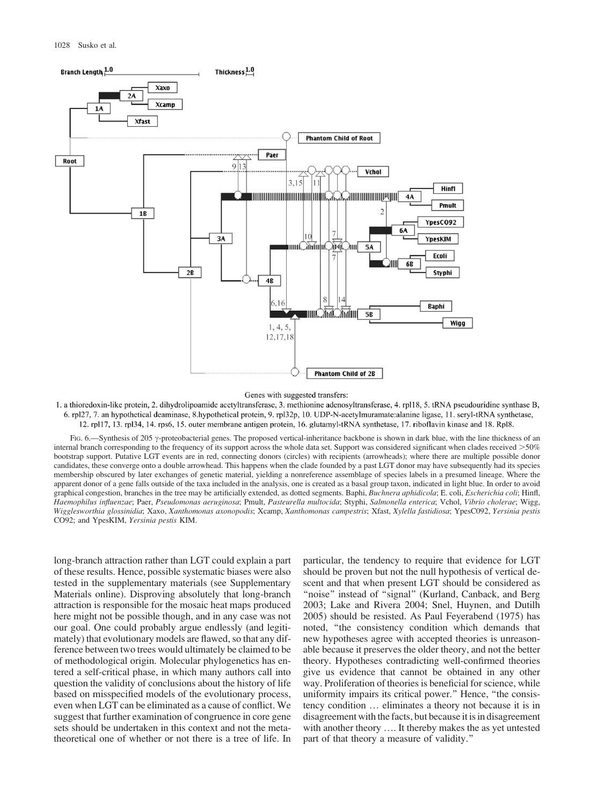

#### Genes with suggested transfers:

1. a thioredoxin-like protein, 2. dihydrolipoamide acetyltransferase, 3. methionine adenosyltransferase, 4. rpl18, 5. tRNA pseudouridine synthase B, 6. rpl27, 7. an hypothetical deaminase, 8.hypothetical protein, 9. rpl32p, 10. UDP-N-acetylmuramate:alanine ligase, 11. seryl-tRNA synthetase, 12. rp117, 13. rp134, 14. rps6, 15. outer membrane antigen protein, 16. glutamyl-tRNA synthetase, 17. riboflavin kinase and 18. Rpl8.

FIG. 6.—Synthesis of 205  $\gamma$ -proteobacterial genes. The proposed vertical-inheritance backbone is shown in dark blue, with the line thickness of an internal branch corresponding to the frequency of its support across the whole data set. Support was considered significant when clades received >50% bootstrap support. Putative LGT events are in red, connecting donors (circles) with recipients (arrowheads); where there are multiple possible donor candidates, these converge onto a double arrowhead. This happens when the clade founded by a past LGT donor may have subsequently had its species membership obscured by later exchanges of genetic material, yielding a nonreference assemblage of species labels in a presumed lineage. Where the apparent donor of a gene falls outside of the taxa included in the analysis, one is created as a basal group taxon, indicated in light blue. In order to avoid graphical congestion, branches in the tree may be artificially extended, as dotted segments. Baphi, Buchnera aphidicola; E. coli, Escherichia coli; Hinfl, Haemophilus influenzae; Paer, Pseudomonas aeruginosa; Pmult, Pasteurella multocida; Styphi, Salmonella enterica; Vchol, Vibrio cholerae; Wigg, Wigglesworthia glossinidia; Xaxo, Xanthomonas axonopodis; Xcamp, Xanthomonas campestris; Xfast, Xylella fastidiosa; YpesC092, Yersinia pestis CO92; and YpesKIM, Yersinia pestis KIM.

long-branch attraction rather than LGT could explain a part of these results. Hence, possible systematic biases were also tested in the supplementary materials (see Supplementary Materials online). Disproving absolutely that long-branch attraction is responsible for the mosaic heat maps produced here might not be possible though, and in any case was not our goal. One could probably argue endlessly (and legitimately) that evolutionary models are flawed, so that any difference between two trees would ultimately be claimed to be of methodological origin. Molecular phylogenetics has entered a self-critical phase, in which many authors call into question the validity of conclusions about the history of life based on misspecified models of the evolutionary process, even when LGT can be eliminated as a cause of conflict. We suggest that further examination of congruence in core gene sets should be undertaken in this context and not the metatheoretical one of whether or not there is a tree of life. In particular, the tendency to require that evidence for LGT should be proven but not the null hypothesis of vertical descent and that when present LGT should be considered as "noise" instead of "signal" (Kurland, Canback, and Berg 2003; Lake and Rivera 2004; Snel, Huynen, and Dutilh 2005) should be resisted. As Paul Feyerabend (1975) has noted, ''the consistency condition which demands that new hypotheses agree with accepted theories is unreasonable because it preserves the older theory, and not the better theory. Hypotheses contradicting well-confirmed theories give us evidence that cannot be obtained in any other way. Proliferation of theories is beneficial for science, while uniformity impairs its critical power.'' Hence, ''the consistency condition ... eliminates a theory not because it is in disagreement with the facts, but because it is in disagreement with another theory .... It thereby makes the as yet untested part of that theory a measure of validity.''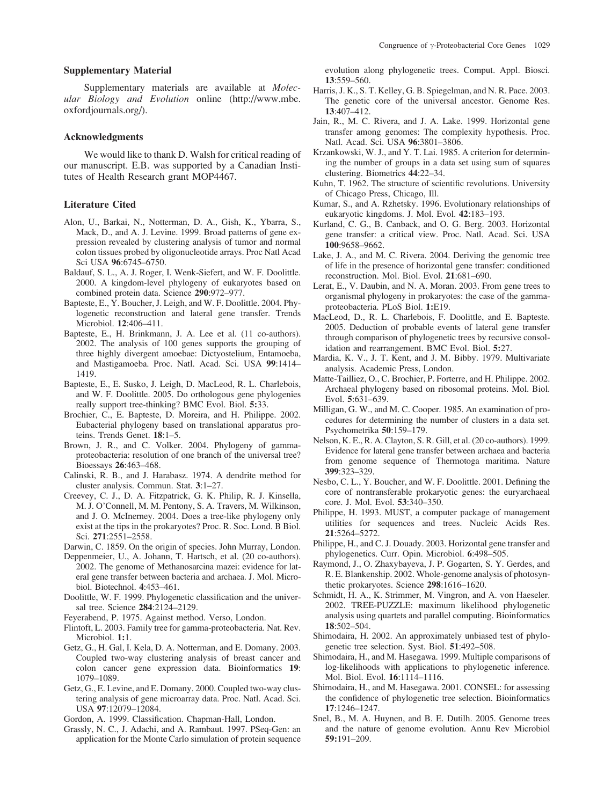#### Supplementary Material

Supplementary materials are available at Molecular Biology and Evolution online [\(http://www.mbe.](http://www.mbe.oxfordjournals.org/) [oxfordjournals.org/\).](http://www.mbe.oxfordjournals.org/)

#### Acknowledgments

We would like to thank D. Walsh for critical reading of our manuscript. E.B. was supported by a Canadian Institutes of Health Research grant MOP4467.

#### Literature Cited

- Alon, U., Barkai, N., Notterman, D. A., Gish, K., Ybarra, S., Mack, D., and A. J. Levine. 1999. Broad patterns of gene expression revealed by clustering analysis of tumor and normal colon tissues probed by oligonucleotide arrays. Proc Natl Acad Sci USA 96:6745–6750.
- Baldauf, S. L., A. J. Roger, I. Wenk-Siefert, and W. F. Doolittle. 2000. A kingdom-level phylogeny of eukaryotes based on combined protein data. Science 290:972–977.
- Bapteste, E., Y. Boucher, J. Leigh, and W. F. Doolittle. 2004. Phylogenetic reconstruction and lateral gene transfer. Trends Microbiol. 12:406–411.
- Bapteste, E., H. Brinkmann, J. A. Lee et al. (11 co-authors). 2002. The analysis of 100 genes supports the grouping of three highly divergent amoebae: Dictyostelium, Entamoeba, and Mastigamoeba. Proc. Natl. Acad. Sci. USA 99:1414– 1419.
- Bapteste, E., E. Susko, J. Leigh, D. MacLeod, R. L. Charlebois, and W. F. Doolittle. 2005. Do orthologous gene phylogenies really support tree-thinking? BMC Evol. Biol. 5:33.
- Brochier, C., E. Bapteste, D. Moreira, and H. Philippe. 2002. Eubacterial phylogeny based on translational apparatus proteins. Trends Genet. 18:1–5.
- Brown, J. R., and C. Volker. 2004. Phylogeny of gammaproteobacteria: resolution of one branch of the universal tree? Bioessays 26:463–468.
- Calinski, R. B., and J. Harabasz. 1974. A dendrite method for cluster analysis. Commun. Stat. 3:1–27.
- Creevey, C. J., D. A. Fitzpatrick, G. K. Philip, R. J. Kinsella, M. J. O'Connell, M. M. Pentony, S. A. Travers, M. Wilkinson, and J. O. McInerney. 2004. Does a tree-like phylogeny only exist at the tips in the prokaryotes? Proc. R. Soc. Lond. B Biol. Sci. 271:2551–2558.

Darwin, C. 1859. On the origin of species. John Murray, London.

- Deppenmeier, U., A. Johann, T. Hartsch, et al. (20 co-authors). 2002. The genome of Methanosarcina mazei: evidence for lateral gene transfer between bacteria and archaea. J. Mol. Microbiol. Biotechnol. 4:453–461.
- Doolittle, W. F. 1999. Phylogenetic classification and the universal tree. Science 284:2124–2129.
- Feyerabend, P. 1975. Against method. Verso, London.
- Flintoft, L. 2003. Family tree for gamma-proteobacteria. Nat. Rev. Microbiol. 1:1.
- Getz, G., H. Gal, I. Kela, D. A. Notterman, and E. Domany. 2003. Coupled two-way clustering analysis of breast cancer and colon cancer gene expression data. Bioinformatics 19: 1079–1089.
- Getz, G., E. Levine, and E. Domany. 2000. Coupled two-way clustering analysis of gene microarray data. Proc. Natl. Acad. Sci. USA 97:12079–12084.

Gordon, A. 1999. Classification. Chapman-Hall, London.

Grassly, N. C., J. Adachi, and A. Rambaut. 1997. PSeq-Gen: an application for the Monte Carlo simulation of protein sequence

evolution along phylogenetic trees. Comput. Appl. Biosci. 13:559–560.

- Harris, J. K., S. T. Kelley, G. B. Spiegelman, and N. R. Pace. 2003. The genetic core of the universal ancestor. Genome Res. 13:407–412.
- Jain, R., M. C. Rivera, and J. A. Lake. 1999. Horizontal gene transfer among genomes: The complexity hypothesis. Proc. Natl. Acad. Sci. USA 96:3801–3806.
- Krzankowski, W. J., and Y. T. Lai. 1985. A criterion for determining the number of groups in a data set using sum of squares clustering. Biometrics 44:22–34.
- Kuhn, T. 1962. The structure of scientific revolutions. University of Chicago Press, Chicago, Ill.
- Kumar, S., and A. Rzhetsky. 1996. Evolutionary relationships of eukaryotic kingdoms. J. Mol. Evol. 42:183–193.
- Kurland, C. G., B. Canback, and O. G. Berg. 2003. Horizontal gene transfer: a critical view. Proc. Natl. Acad. Sci. USA 100:9658–9662.
- Lake, J. A., and M. C. Rivera. 2004. Deriving the genomic tree of life in the presence of horizontal gene transfer: conditioned reconstruction. Mol. Biol. Evol. 21:681–690.
- Lerat, E., V. Daubin, and N. A. Moran. 2003. From gene trees to organismal phylogeny in prokaryotes: the case of the gammaproteobacteria. PLoS Biol. 1:E19.
- MacLeod, D., R. L. Charlebois, F. Doolittle, and E. Bapteste. 2005. Deduction of probable events of lateral gene transfer through comparison of phylogenetic trees by recursive consolidation and rearrangement. BMC Evol. Biol. 5:27.
- Mardia, K. V., J. T. Kent, and J. M. Bibby. 1979. Multivariate analysis. Academic Press, London.
- Matte-Tailliez, O., C. Brochier, P. Forterre, and H. Philippe. 2002. Archaeal phylogeny based on ribosomal proteins. Mol. Biol. Evol. 5:631–639.
- Milligan, G. W., and M. C. Cooper. 1985. An examination of procedures for determining the number of clusters in a data set. Psychometrika 50:159–179.
- Nelson, K. E., R. A. Clayton, S. R. Gill, et al. (20 co-authors). 1999. Evidence for lateral gene transfer between archaea and bacteria from genome sequence of Thermotoga maritima. Nature 399:323–329.
- Nesbo, C. L., Y. Boucher, and W. F. Doolittle. 2001. Defining the core of nontransferable prokaryotic genes: the euryarchaeal core. J. Mol. Evol. 53:340–350.
- Philippe, H. 1993. MUST, a computer package of management utilities for sequences and trees. Nucleic Acids Res. 21:5264–5272.
- Philippe, H., and C. J. Douady. 2003. Horizontal gene transfer and phylogenetics. Curr. Opin. Microbiol. 6:498–505.
- Raymond, J., O. Zhaxybayeva, J. P. Gogarten, S. Y. Gerdes, and R. E. Blankenship. 2002. Whole-genome analysis of photosynthetic prokaryotes. Science 298:1616–1620.
- Schmidt, H. A., K. Strimmer, M. Vingron, and A. von Haeseler. 2002. TREE-PUZZLE: maximum likelihood phylogenetic analysis using quartets and parallel computing. Bioinformatics 18:502–504.
- Shimodaira, H. 2002. An approximately unbiased test of phylogenetic tree selection. Syst. Biol. 51:492–508.
- Shimodaira, H., and M. Hasegawa. 1999. Multiple comparisons of log-likelihoods with applications to phylogenetic inference. Mol. Biol. Evol. 16:1114–1116.
- Shimodaira, H., and M. Hasegawa. 2001. CONSEL: for assessing the confidence of phylogenetic tree selection. Bioinformatics 17:1246–1247.
- Snel, B., M. A. Huynen, and B. E. Dutilh. 2005. Genome trees and the nature of genome evolution. Annu Rev Microbiol 59:191–209.